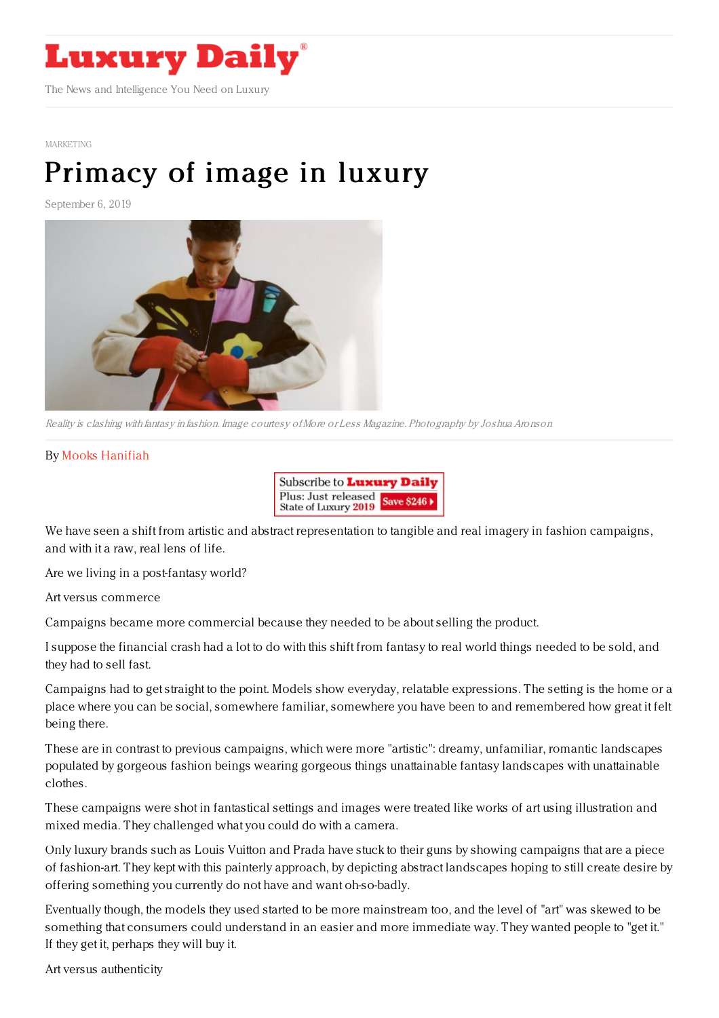

[MARKETING](https://www.luxurydaily.com/category/sectors/marketing-industry-sectors/)

## [Primacy](https://www.luxurydaily.com/primacy-of-image-in-luxury/) of image in luxury

September 6, 2019



Reality is clashing with fantasy in fashion. Image courtesy ofMore or Less Magazine. Photography by Joshua Aronson

## By Mooks [Hanifiah](http://www.wednesdayagency.com)



We have seen a shift from artistic and abstract representation to tangible and real imagery in fashion campaigns, and with it a raw, real lens of life.

Are we living in a post-fantasy world?

Art versus commerce

Campaigns became more commercial because they needed to be about selling the product.

I suppose the financial crash had a lot to do with this shift from fantasy to real world things needed to be sold, and they had to sell fast.

Campaigns had to get straight to the point. Models show everyday, relatable expressions. The setting is the home or a place where you can be social, somewhere familiar, somewhere you have been to and remembered how great it felt being there.

These are in contrast to previous campaigns, which were more "artistic": dreamy, unfamiliar, romantic landscapes populated by gorgeous fashion beings wearing gorgeous things unattainable fantasy landscapes with unattainable clothes.

These campaigns were shot in fantastical settings and images were treated like works of art using illustration and mixed media. They challenged what you could do with a camera.

Only luxury brands such as Louis Vuitton and Prada have stuck to their guns by showing campaigns that are a piece of fashion-art. They kept with this painterly approach, by depicting abstract landscapes hoping to still create desire by offering something you currently do not have and want oh-so-badly.

Eventually though, the models they used started to be more mainstream too, and the level of "art" was skewed to be something that consumers could understand in an easier and more immediate way. They wanted people to "get it." If they get it, perhaps they will buy it.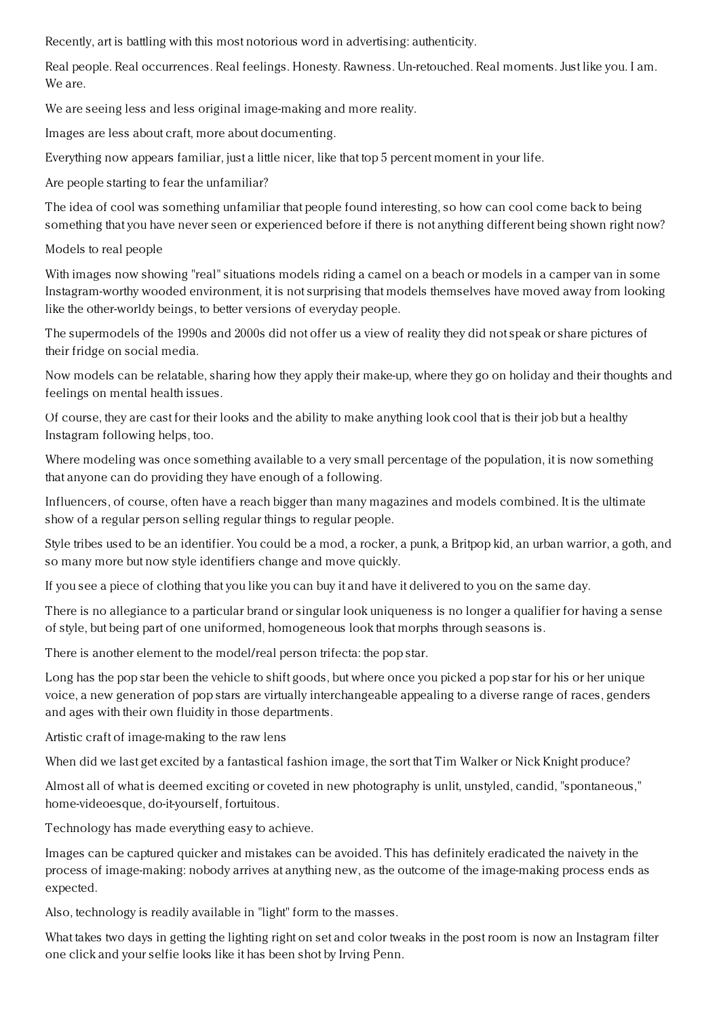Recently, art is battling with this most notorious word in advertising: authenticity.

Real people. Real occurrences. Real feelings. Honesty. Rawness. Un-retouched. Real moments. Just like you. I am. We are.

We are seeing less and less original image-making and more reality.

Images are less about craft, more about documenting.

Everything now appears familiar, just a little nicer, like that top 5 percent moment in your life.

Are people starting to fear the unfamiliar?

The idea of cool was something unfamiliar that people found interesting, so how can cool come back to being something that you have never seen or experienced before if there is not anything different being shown right now?

Models to real people

With images now showing "real" situations models riding a camel on a beach or models in a camper van in some Instagram-worthy wooded environment, it is not surprising that models themselves have moved away from looking like the other-worldy beings, to better versions of everyday people.

The supermodels of the 1990s and 2000s did not offer us a view of reality they did not speak or share pictures of their fridge on social media.

Now models can be relatable, sharing how they apply their make-up, where they go on holiday and their thoughts and feelings on mental health issues.

Of course, they are cast for their looks and the ability to make anything look cool that is their job but a healthy Instagram following helps, too.

Where modeling was once something available to a very small percentage of the population, it is now something that anyone can do providing they have enough of a following.

Influencers, of course, often have a reach bigger than many magazines and models combined. It is the ultimate show of a regular person selling regular things to regular people.

Style tribes used to be an identifier. You could be a mod, a rocker, a punk, a Britpop kid, an urban warrior, a goth, and so many more but now style identifiers change and move quickly.

If you see a piece of clothing that you like you can buy it and have it delivered to you on the same day.

There is no allegiance to a particular brand or singular look uniqueness is no longer a qualifier for having a sense of style, but being part of one uniformed, homogeneous look that morphs through seasons is.

There is another element to the model/real person trifecta: the pop star.

Long has the pop star been the vehicle to shift goods, but where once you picked a pop star for his or her unique voice, a new generation of pop stars are virtually interchangeable appealing to a diverse range of races, genders and ages with their own fluidity in those departments.

Artistic craft of image-making to the raw lens

When did we last get excited by a fantastical fashion image, the sort that Tim Walker or Nick Knight produce?

Almost all of what is deemed exciting or coveted in new photography is unlit, unstyled, candid, "spontaneous," home-videoesque, do-it-vourself, fortuitous.

Technology has made everything easy to achieve.

Images can be captured quicker and mistakes can be avoided. This has definitely eradicated the naivety in the process of image-making: nobody arrives at anything new, as the outcome of the image-making process ends as expected.

Also, technology is readily available in "light" form to the masses.

What takes two days in getting the lighting right on set and color tweaks in the post room is now an Instagram filter one click and your selfie looks like it has been shot by Irving Penn.